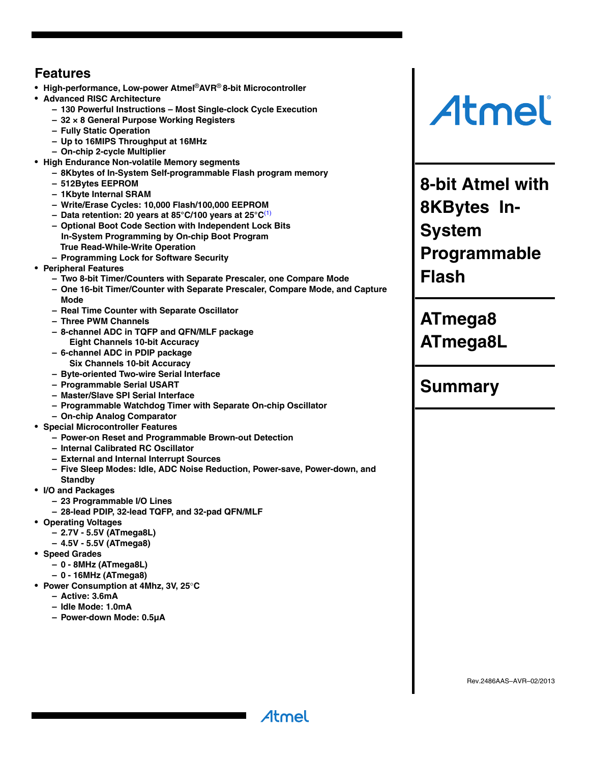## **Features**

- **High-performance, Low-power Atmel**®**AVR**® **8-bit Microcontroller**
- **Advanced RISC Architecture**
	- **130 Powerful Instructions Most Single-clock Cycle Execution**
	- **32 × 8 General Purpose Working Registers**
	- **Fully Static Operation**
	- **Up to 16MIPS Throughput at 16MHz**
	- **On-chip 2-cycle Multiplier**
- **High Endurance Non-volatile Memory segments**
	- **8Kbytes of In-System Self-programmable Flash program memory**
	- **512Bytes EEPROM**
	- **1Kbyte Internal SRAM**
	- **Write/Erase Cycles: 10,000 Flash/100,000 EEPROM**
	- **Data retention: 20 years at 85°C/100 years at 25°C**(1)
	- **Optional Boot Code Section with Independent Lock Bits In-System Programming by On-chip Boot Program True Read-While-Write Operation**
	- **Programming Lock for Software Security**
- **Peripheral Features**
	- **Two 8-bit Timer/Counters with Separate Prescaler, one Compare Mode**
	- **One 16-bit Timer/Counter with Separate Prescaler, Compare Mode, and Capture Mode**
	- **Real Time Counter with Separate Oscillator**
	- **Three PWM Channels**
	- **8-channel ADC in TQFP and QFN/MLF package Eight Channels 10-bit Accuracy**
	- **6-channel ADC in PDIP package Six Channels 10-bit Accuracy**
	- **Byte-oriented Two-wire Serial Interface**
	- **Programmable Serial USART**
	- **Master/Slave SPI Serial Interface**
	- **Programmable Watchdog Timer with Separate On-chip Oscillator**
	- **On-chip Analog Comparator**
- **Special Microcontroller Features**
	- **Power-on Reset and Programmable Brown-out Detection**
	- **Internal Calibrated RC Oscillator**
	- **External and Internal Interrupt Sources**
	- **Five Sleep Modes: Idle, ADC Noise Reduction, Power-save, Power-down, and**

Atmel

- **Standby**
- **I/O and Packages**
	- **23 Programmable I/O Lines**
	- **28-lead PDIP, 32-lead TQFP, and 32-pad QFN/MLF**
- **Operating Voltages**
	- **2.7V 5.5V (ATmega8L)**
	- **4.5V 5.5V (ATmega8)**
- **Speed Grades**
	- **0 8MHz (ATmega8L)**
	- **0 16MHz (ATmega8)**
- **Power Consumption at 4Mhz, 3V, 25C**
	- **Active: 3.6mA**
	- **Idle Mode: 1.0mA**
	- **Power-down Mode: 0.5µA**

Atmel

**8-bit Atmel with 8KBytes In-System Programmable Flash**

**ATmega8 ATmega8L**

# **Summary**

Rev.2486AAS–AVR–02/2013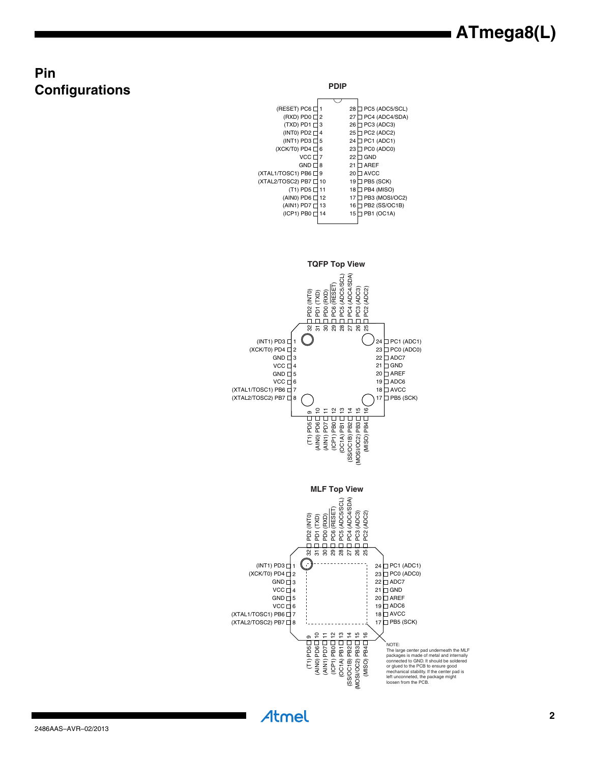# **ATmega8(L)**

# **Pin Configurations**

**PDIP**

| (RESET) PC6 [         |    | 28 | PC5 (ADC5/SCL)   |
|-----------------------|----|----|------------------|
| (RXD) PD0             | 2  | 27 | PC4 (ADC4/SDA)   |
| (TXD) PD1 [           | 3  | 26 | PC3 (ADC3)       |
| (INT0) PD2 [          | 4  | 25 | PC2 (ADC2)       |
| $(INT1)$ PD3 $\Box$   | 5  | 24 | PC1 (ADC1)       |
| $(XCK/T0)$ PD4 $\Box$ | 6  | 23 | PC0 (ADC0)       |
| VCC <sub>L</sub>      | 7  | 22 | GND              |
| <b>GND</b> D          | 8  | 21 | <b>AREF</b>      |
| (XTAL1/TOSC1) PB6 □   | 9  | 20 | <b>AVCC</b>      |
| (XTAL2/TOSC2) PB7 [   | 10 | 19 | PB5 (SCK)        |
| $(T1)$ PD5 $\Box$     | 11 | 18 | ] PB4 (MISO)     |
| (AINO) PD6 $\Box$     | 12 | 17 | ] PB3 (MOSI/OC2) |
| (AIN1) PD7 [          | 13 | 16 | PB2 (SS/OC1B)    |
| (ICP1) PB0 [          | 14 | 15 | PB1 (OC1A)       |
|                       |    |    |                  |

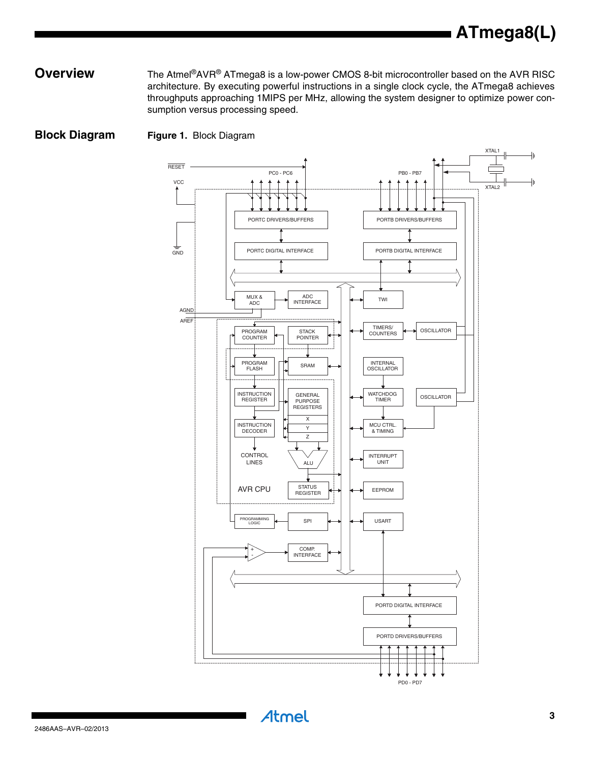#### **Overview** The Atmel<sup>®</sup>AVR<sup>®</sup> ATmega8 is a low-power CMOS 8-bit microcontroller based on the AVR RISC architecture. By executing powerful instructions in a single clock cycle, the ATmega8 achieves throughputs approaching 1MIPS per MHz, allowing the system designer to optimize power consumption versus processing speed.

**Block Diagram Figure 1.** Block Diagram

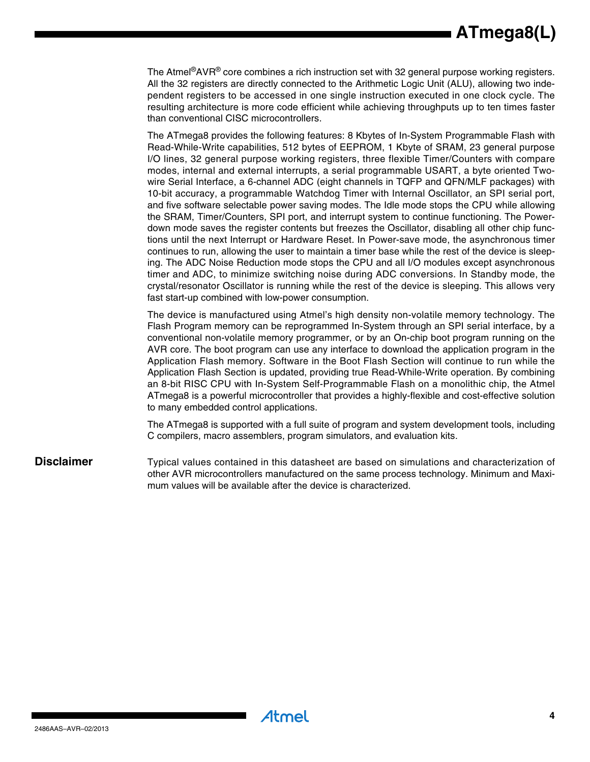# **ATmega8(L)**

The Atmel<sup>®</sup>AVR<sup>®</sup> core combines a rich instruction set with 32 general purpose working registers. All the 32 registers are directly connected to the Arithmetic Logic Unit (ALU), allowing two independent registers to be accessed in one single instruction executed in one clock cycle. The resulting architecture is more code efficient while achieving throughputs up to ten times faster than conventional CISC microcontrollers.

The ATmega8 provides the following features: 8 Kbytes of In-System Programmable Flash with Read-While-Write capabilities, 512 bytes of EEPROM, 1 Kbyte of SRAM, 23 general purpose I/O lines, 32 general purpose working registers, three flexible Timer/Counters with compare modes, internal and external interrupts, a serial programmable USART, a byte oriented Twowire Serial Interface, a 6-channel ADC (eight channels in TQFP and QFN/MLF packages) with 10-bit accuracy, a programmable Watchdog Timer with Internal Oscillator, an SPI serial port, and five software selectable power saving modes. The Idle mode stops the CPU while allowing the SRAM, Timer/Counters, SPI port, and interrupt system to continue functioning. The Powerdown mode saves the register contents but freezes the Oscillator, disabling all other chip functions until the next Interrupt or Hardware Reset. In Power-save mode, the asynchronous timer continues to run, allowing the user to maintain a timer base while the rest of the device is sleeping. The ADC Noise Reduction mode stops the CPU and all I/O modules except asynchronous timer and ADC, to minimize switching noise during ADC conversions. In Standby mode, the crystal/resonator Oscillator is running while the rest of the device is sleeping. This allows very fast start-up combined with low-power consumption.

The device is manufactured using Atmel's high density non-volatile memory technology. The Flash Program memory can be reprogrammed In-System through an SPI serial interface, by a conventional non-volatile memory programmer, or by an On-chip boot program running on the AVR core. The boot program can use any interface to download the application program in the Application Flash memory. Software in the Boot Flash Section will continue to run while the Application Flash Section is updated, providing true Read-While-Write operation. By combining an 8-bit RISC CPU with In-System Self-Programmable Flash on a monolithic chip, the Atmel ATmega8 is a powerful microcontroller that provides a highly-flexible and cost-effective solution to many embedded control applications.

The ATmega8 is supported with a full suite of program and system development tools, including C compilers, macro assemblers, program simulators, and evaluation kits.

**Disclaimer** Typical values contained in this datasheet are based on simulations and characterization of other AVR microcontrollers manufactured on the same process technology. Minimum and Maximum values will be available after the device is characterized.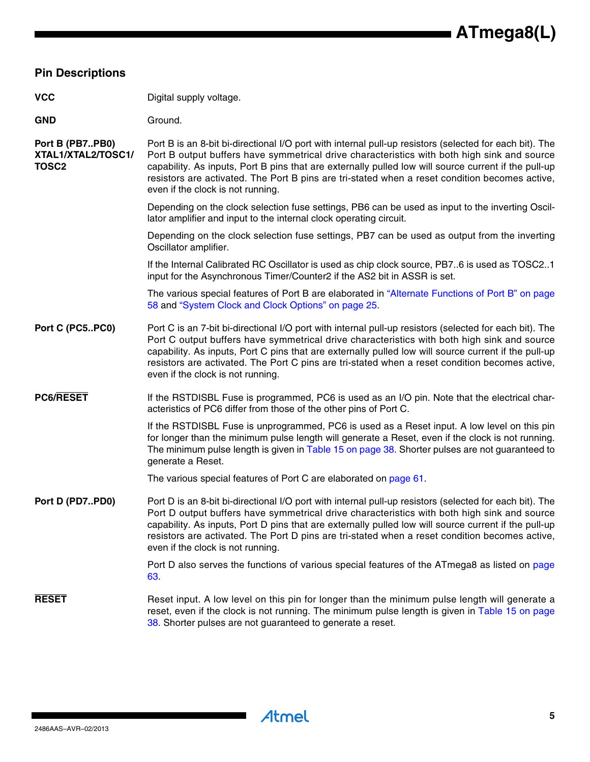#### **Pin Descriptions**

| VCC | Digital supply voltage. |
|-----|-------------------------|
|     |                         |

GND Ground.

**Port B (PB7..PB0) XTAL1/XTAL2/TOSC1/ TOSC2** Port B is an 8-bit bi-directional I/O port with internal pull-up resistors (selected for each bit). The Port B output buffers have symmetrical drive characteristics with both high sink and source capability. As inputs, Port B pins that are externally pulled low will source current if the pull-up resistors are activated. The Port B pins are tri-stated when a reset condition becomes active, even if the clock is not running.

> Depending on the clock selection fuse settings, PB6 can be used as input to the inverting Oscillator amplifier and input to the internal clock operating circuit.

> Depending on the clock selection fuse settings, PB7 can be used as output from the inverting Oscillator amplifier.

> If the Internal Calibrated RC Oscillator is used as chip clock source, PB7..6 is used as TOSC2..1 input for the Asynchronous Timer/Counter2 if the AS2 bit in ASSR is set.

> The various special features of Port B are elaborated in "Alternate Functions of Port B" on page 58 and "System Clock and Clock Options" on page 25.

- **Port C (PC5..PC0)** Port C is an 7-bit bi-directional I/O port with internal pull-up resistors (selected for each bit). The Port C output buffers have symmetrical drive characteristics with both high sink and source capability. As inputs, Port C pins that are externally pulled low will source current if the pull-up resistors are activated. The Port C pins are tri-stated when a reset condition becomes active, even if the clock is not running.
- **PC6/RESET** If the RSTDISBL Fuse is programmed, PC6 is used as an I/O pin. Note that the electrical characteristics of PC6 differ from those of the other pins of Port C.

If the RSTDISBL Fuse is unprogrammed, PC6 is used as a Reset input. A low level on this pin for longer than the minimum pulse length will generate a Reset, even if the clock is not running. The minimum pulse length is given in Table 15 on page 38. Shorter pulses are not guaranteed to generate a Reset.

The various special features of Port C are elaborated on page 61.

**Port D (PD7..PD0)** Port D is an 8-bit bi-directional I/O port with internal pull-up resistors (selected for each bit). The Port D output buffers have symmetrical drive characteristics with both high sink and source capability. As inputs, Port D pins that are externally pulled low will source current if the pull-up resistors are activated. The Port D pins are tri-stated when a reset condition becomes active, even if the clock is not running.

> Port D also serves the functions of various special features of the ATmega8 as listed on page 63.

**RESET** Reset input. A low level on this pin for longer than the minimum pulse length will generate a reset, even if the clock is not running. The minimum pulse length is given in Table 15 on page 38. Shorter pulses are not guaranteed to generate a reset.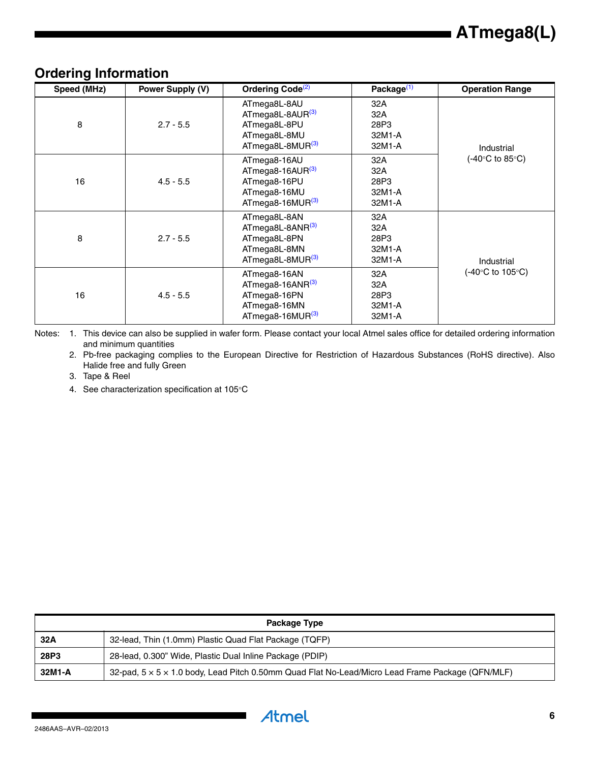| Speed (MHz) | Power Supply (V) | Ordering Code <sup>(2)</sup>                                                                                 | Package <sup>(1)</sup>                 | <b>Operation Range</b>        |
|-------------|------------------|--------------------------------------------------------------------------------------------------------------|----------------------------------------|-------------------------------|
| 8           | $2.7 - 5.5$      | ATmega8L-8AU<br>ATmega8L-8AUR <sup>(3)</sup><br>ATmega8L-8PU<br>ATmega8L-8MU<br>ATmega8L-8MUR <sup>(3)</sup> | 32A<br>32A<br>28P3<br>32M1-A<br>32M1-A | Industrial<br>(-40°C to 85°C) |
| 16          | $4.5 - 5.5$      | ATmega8-16AU<br>$AT$ mega8-16AUR $^{(3)}$<br>ATmega8-16PU<br>ATmega8-16MU<br>$AT$ mega8-16MUR $^{(3)}$       | 32A<br>32A<br>28P3<br>32M1-A<br>32M1-A |                               |
| 8           | $2.7 - 5.5$      | ATmega8L-8AN<br>ATmega8L-8ANR(3)<br>ATmega8L-8PN<br>ATmega8L-8MN<br>ATmega8L-8MUR <sup>(3)</sup>             | 32A<br>32A<br>28P3<br>32M1-A<br>32M1-A | Industrial                    |
| 16          | $4.5 - 5.5$      | ATmega8-16AN<br>$AT$ mega8-16AN $R^{(3)}$<br>ATmega8-16PN<br>ATmega8-16MN<br>$ATmega-16MUR(3)$               | 32A<br>32A<br>28P3<br>32M1-A<br>32M1-A | (-40°C to 105°C)              |

## **Ordering Information**

<span id="page-5-1"></span><span id="page-5-0"></span>Notes: 1. This device can also be supplied in wafer form. Please contact your local Atmel sales office for detailed ordering information and minimum quantities

2. Pb-free packaging complies to the European Directive for Restriction of Hazardous Substances (RoHS directive). Also Halide free and fully Green

<span id="page-5-2"></span>3. Tape & Reel

4. See characterization specification at 105°C

| Package Type |                                                                                                              |  |  |  |
|--------------|--------------------------------------------------------------------------------------------------------------|--|--|--|
| 32A          | 32-lead, Thin (1.0mm) Plastic Quad Flat Package (TQFP)                                                       |  |  |  |
| 28P3         | 28-lead, 0.300" Wide, Plastic Dual Inline Package (PDIP)                                                     |  |  |  |
| 32M1-A       | 32-pad, $5 \times 5 \times 1.0$ body, Lead Pitch 0.50mm Quad Flat No-Lead/Micro Lead Frame Package (QFN/MLF) |  |  |  |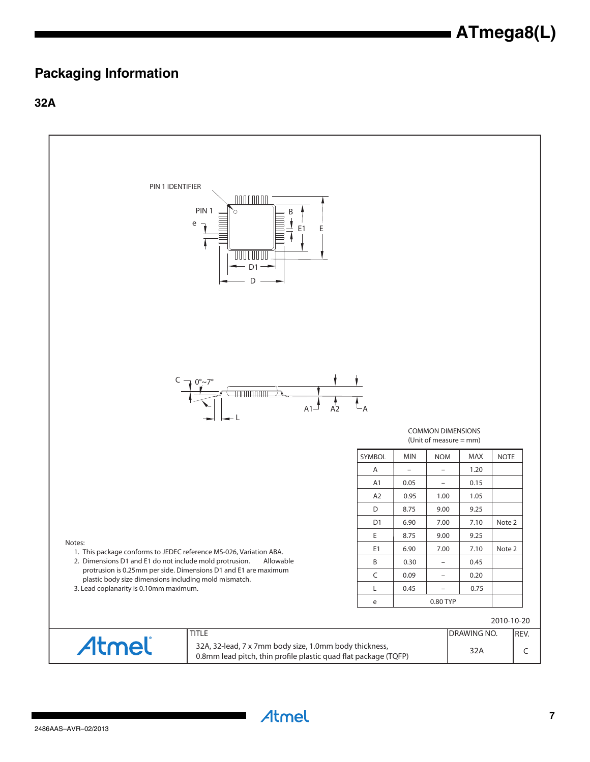## **Packaging Information**

**32A**

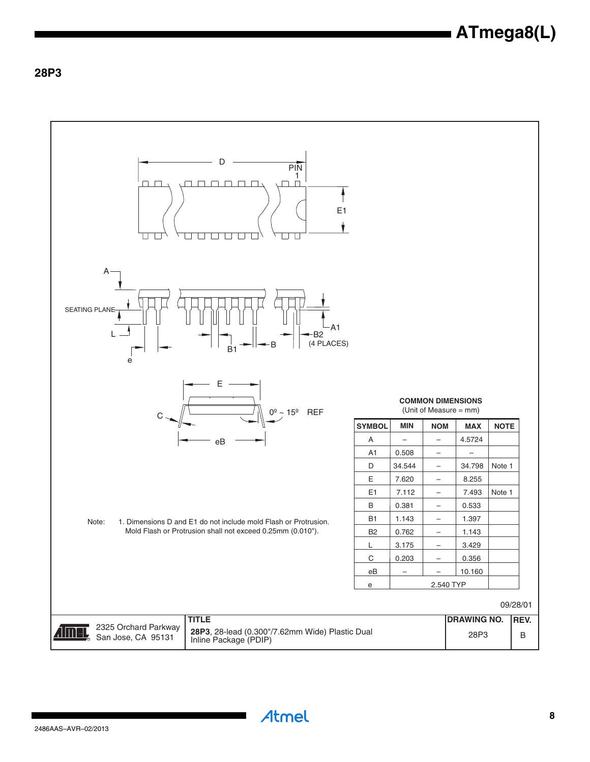### **28P3**

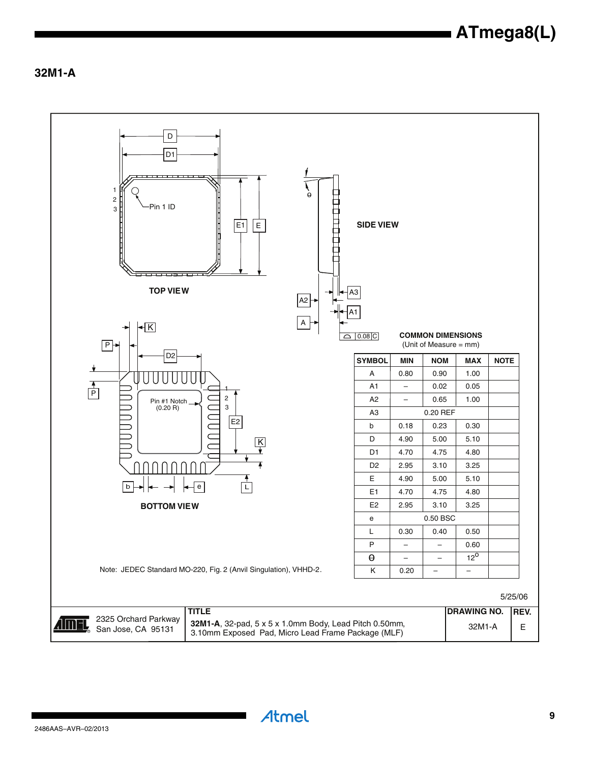**32M1-A**

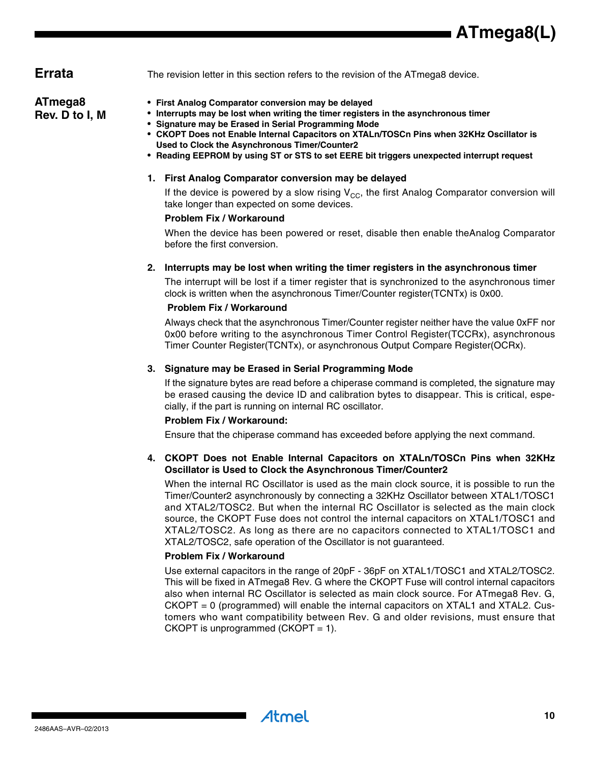**Errata** The revision letter in this section refers to the revision of the ATmega8 device.

#### **ATmega8 Rev. D to I, M**

- **First Analog Comparator conversion may be delayed**
- **Interrupts may be lost when writing the timer registers in the asynchronous timer**
- **Signature may be Erased in Serial Programming Mode**
- **CKOPT Does not Enable Internal Capacitors on XTALn/TOSCn Pins when 32KHz Oscillator is Used to Clock the Asynchronous Timer/Counter2**
- **Reading EEPROM by using ST or STS to set EERE bit triggers unexpected interrupt request**

#### **1. First Analog Comparator conversion may be delayed**

If the device is powered by a slow rising  $V_{CC}$ , the first Analog Comparator conversion will take longer than expected on some devices.

#### **Problem Fix / Workaround**

When the device has been powered or reset, disable then enable theAnalog Comparator before the first conversion.

#### **2. Interrupts may be lost when writing the timer registers in the asynchronous timer**

The interrupt will be lost if a timer register that is synchronized to the asynchronous timer clock is written when the asynchronous Timer/Counter register(TCNTx) is 0x00.

#### **Problem Fix / Workaround**

Always check that the asynchronous Timer/Counter register neither have the value 0xFF nor 0x00 before writing to the asynchronous Timer Control Register(TCCRx), asynchronous Timer Counter Register(TCNTx), or asynchronous Output Compare Register(OCRx).

#### **3. Signature may be Erased in Serial Programming Mode**

Atmel

If the signature bytes are read before a chiperase command is completed, the signature may be erased causing the device ID and calibration bytes to disappear. This is critical, especially, if the part is running on internal RC oscillator.

#### **Problem Fix / Workaround:**

Ensure that the chiperase command has exceeded before applying the next command.

#### **4. CKOPT Does not Enable Internal Capacitors on XTALn/TOSCn Pins when 32KHz Oscillator is Used to Clock the Asynchronous Timer/Counter2**

When the internal RC Oscillator is used as the main clock source, it is possible to run the Timer/Counter2 asynchronously by connecting a 32KHz Oscillator between XTAL1/TOSC1 and XTAL2/TOSC2. But when the internal RC Oscillator is selected as the main clock source, the CKOPT Fuse does not control the internal capacitors on XTAL1/TOSC1 and XTAL2/TOSC2. As long as there are no capacitors connected to XTAL1/TOSC1 and XTAL2/TOSC2, safe operation of the Oscillator is not guaranteed.

#### **Problem Fix / Workaround**

Use external capacitors in the range of 20pF - 36pF on XTAL1/TOSC1 and XTAL2/TOSC2. This will be fixed in ATmega8 Rev. G where the CKOPT Fuse will control internal capacitors also when internal RC Oscillator is selected as main clock source. For ATmega8 Rev. G,  $CKOPT = 0$  (programmed) will enable the internal capacitors on  $XTAL1$  and  $XTAL2$ . Customers who want compatibility between Rev. G and older revisions, must ensure that CKOPT is unprogrammed (CKOPT =  $1$ ).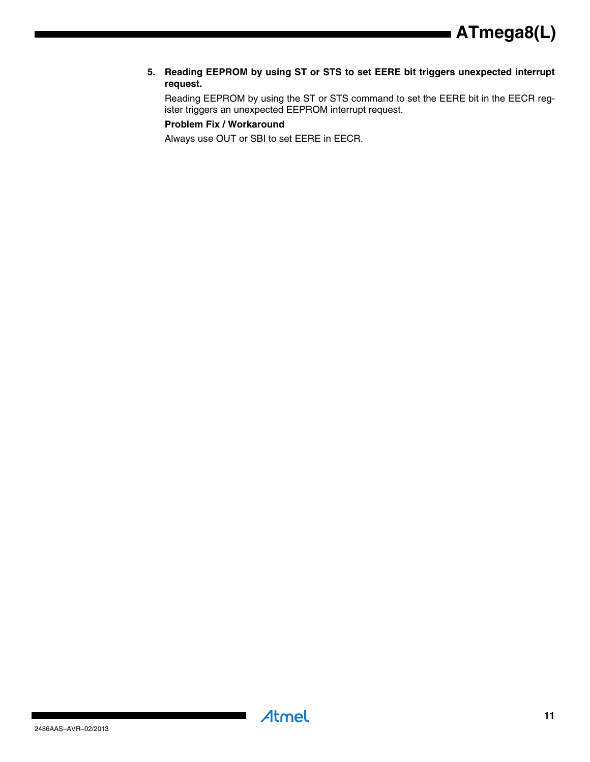**5. Reading EEPROM by using ST or STS to set EERE bit triggers unexpected interrupt request.**

Reading EEPROM by using the ST or STS command to set the EERE bit in the EECR register triggers an unexpected EEPROM interrupt request.

#### **Problem Fix / Workaround**

Always use OUT or SBI to set EERE in EECR.